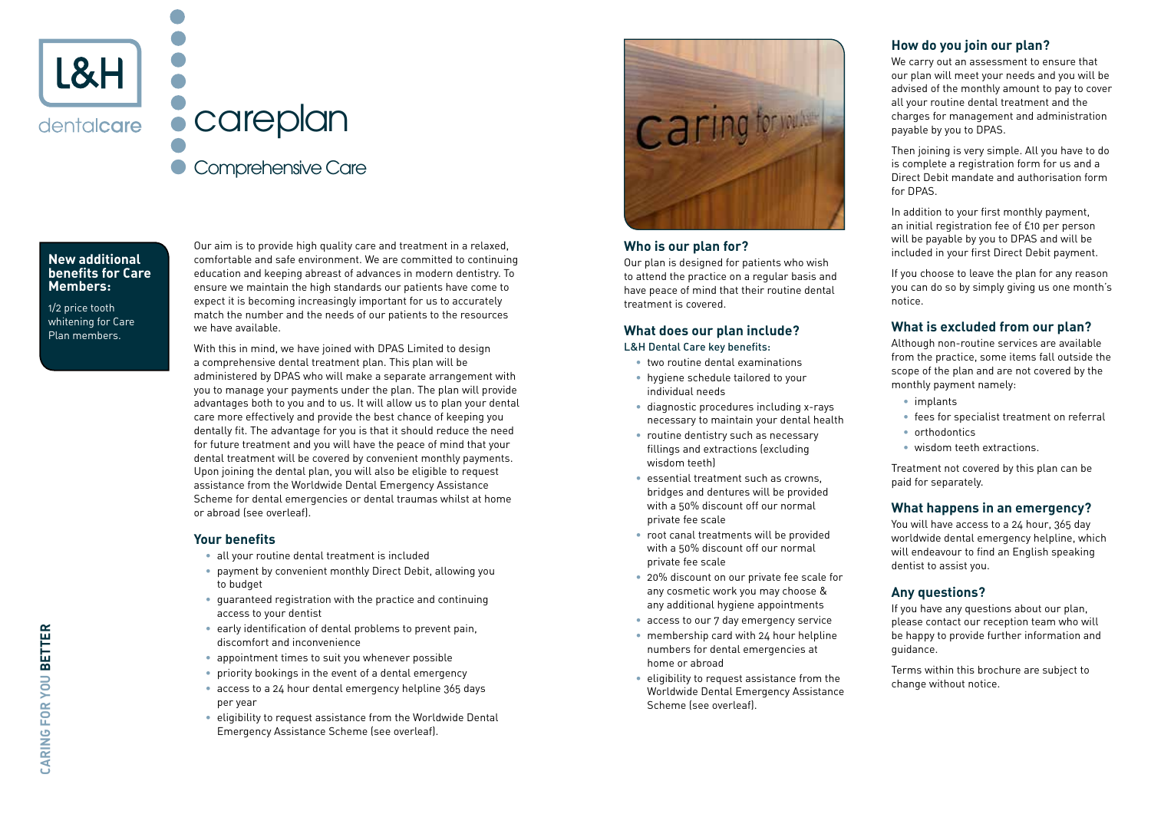

# careplan Comprehensive Care

#### **New additional benefits for Care Members:**

1/2 price tooth whitening for Care Plan members.

Our aim is to provide high quality care and treatment in a relaxed. comfortable and safe environment. We are committed to continuing education and keeping abreast of advances in modern dentistry. To ensure we maintain the high standards our patients have come to expect it is becoming increasingly important for us to accurately match the number and the needs of our patients to the resources we have available.

With this in mind, we have joined with DPAS Limited to design a comprehensive dental treatment plan. This plan will be administered by DPAS who will make a separate arrangement with you to manage your payments under the plan. The plan will provide advantages both to you and to us. It will allow us to plan your dental care more effectively and provide the best chance of keeping you dentally fit. The advantage for you is that it should reduce the need for future treatment and you will have the peace of mind that your dental treatment will be covered by convenient monthly payments. Upon joining the dental plan, you will also be eligible to request assistance from the Worldwide Dental Emergency Assistance Scheme for dental emergencies or dental traumas whilst at home or abroad (see overleaf).

### **Your benefits**

- all your routine dental treatment is included
- payment by convenient monthly Direct Debit, allowing you to budget
- guaranteed registration with the practice and continuing access to your dentist
- early identification of dental problems to prevent pain, discomfort and inconvenience
- appointment times to suit you whenever possible
- priority bookings in the event of a dental emergency
- access to a 24 hour dental emergency helpline 365 days per year
- eligibility to request assistance from the Worldwide Dental Emergency Assistance Scheme (see overleaf).



### **Who is our plan for?**

Our plan is designed for patients who wish to attend the practice on a regular basis and have peace of mind that their routine dental treatment is covered.

# **What does our plan include?** L&H Dental Care key benefits:

- two routine dental examinations
- hygiene schedule tailored to your individual needs
- diagnostic procedures including x-rays necessary to maintain your dental health
- routine dentistry such as necessary fillings and extractions (excluding wisdom teeth)
- essential treatment such as crowns, bridges and dentures will be provided with a 50% discount off our normal private fee scale
- root canal treatments will be provided with a 50% discount off our normal private fee scale
- 20% discount on our private fee scale for any cosmetic work you may choose & any additional hygiene appointments
- access to our 7 day emergency service
- membership card with 24 hour helpline numbers for dental emergencies at home or abroad
- eligibility to request assistance from the Worldwide Dental Emergency Assistance Scheme (see overleaf).

# **How do you join our plan?**

We carry out an assessment to ensure that our plan will meet your needs and you will be advised of the monthly amount to pay to cover all your routine dental treatment and the charges for management and administration payable by you to DPAS.

Then joining is very simple. All you have to do is complete a registration form for us and a Direct Debit mandate and authorisation form for DPAS.

In addition to your first monthly payment, an initial registration fee of £10 per person will be payable by you to DPAS and will be included in your first Direct Debit payment.

If you choose to leave the plan for any reason you can do so by simply giving us one month's notice.

# **What is excluded from our plan?**

Although non-routine services are available from the practice, some items fall outside the scope of the plan and are not covered by the monthly payment namely:

- implants
- fees for specialist treatment on referral
- orthodontics
- wisdom teeth extractions.

Treatment not covered by this plan can be paid for separately.

# **What happens in an emergency?**

You will have access to a 24 hour, 365 day worldwide dental emergency helpline, which will endeavour to find an English speaking dentist to assist you.

# **Any questions?**

If you have any questions about our plan, please contact our reception team who will be happy to provide further information and guidance.

Terms within this brochure are subject to change without notice.